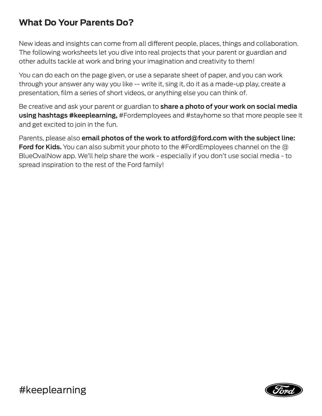## **What Do Your Parents Do?**

New ideas and insights can come from all diferent people, places, things and collaboration. The following worksheets let you dive into real projects that your parent or guardian and other adults tackle at work and bring your imagination and creativity to them!

You can do each on the page given, or use a separate sheet of paper, and you can work through your answer any way you like -- write it, sing it, do it as a made-up play, create a presentation, film a series of short videos, or anything else you can think of.

Be creative and ask your parent or guardian to **share a photo of your work on social media using hashtags #keeplearning,** #Fordemployees and #stayhome so that more people see it and get excited to join in the fun.

Parents, please also **email photos of the work to atford@ford.com with the subject line: Ford for Kids.** You can also submit your photo to the #FordEmployees channel on the @ BlueOvalNow app. We'll help share the work - especially if you don't use social media - to spread inspiration to the rest of the Ford family!

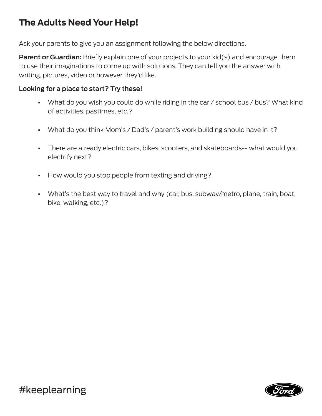# **The Adults Need Your Help!**

Ask your parents to give you an assignment following the below directions.

**Parent or Guardian:** Briefly explain one of your projects to your kid(s) and encourage them to use their imaginations to come up with solutions. They can tell you the answer with writing, pictures, video or however they'd like.

### **Looking for a place to start? Try these!**

- **•** What do you wish you could do while riding in the car / school bus / bus? What kind of activities, pastimes, etc.?
- **•** What do you think Mom's / Dad's / parent's work building should have in it?
- **•** There are already electric cars, bikes, scooters, and skateboards-- what would you electrify next?
- **•** How would you stop people from texting and driving?
- **•** What's the best way to travel and why (car, bus, subway/metro, plane, train, boat, bike, walking, etc.)?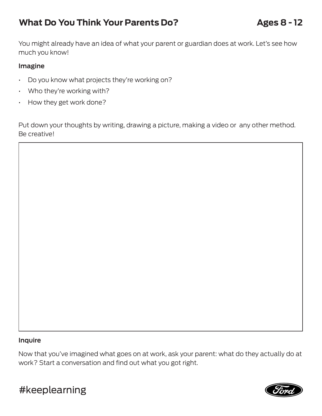# **What Do You Think Your Parents Do?** Ages 8 - 12

You might already have an idea of what your parent or guardian does at work. Let's see how much you know!

### **Imagine**

- Do you know what projects they're working on?
- Who they're working with?
- How they get work done?

Put down your thoughts by writing, drawing a picture, making a video or any other method. Be creative!

#### **Inquire**

Now that you've imagined what goes on at work, ask your parent: what do they actually do at work? Start a conversation and find out what you got right.



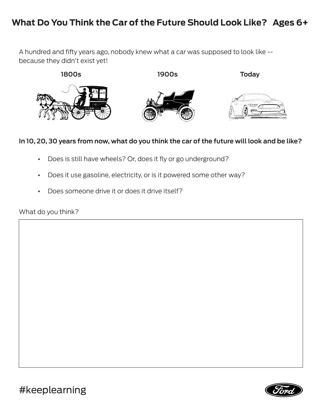## **What Do You Think the Car of the Future Should Look Like? Ages 6+**

A hundred and fify years ago, nobody knew what a car was supposed to look like - because they didn't exist yet!



### **In 10, 20, 30 years from now, what do you think the car of the future will look and be like?**

- **•** Does is still have wheels? Or, does it fly or go underground?
- **•** Does it use gasoline, electricity, or is it powered some other way?
- **•** Does someone drive it or does it drive itself?

What do you think?